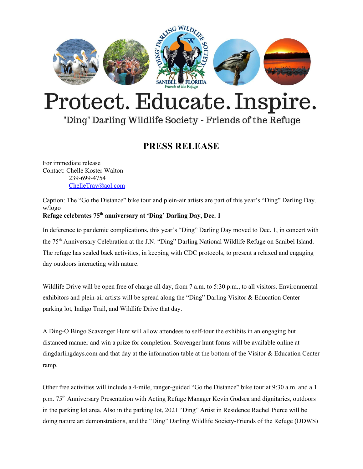

# Protect. Educate. Inspire.

## "Ding" Darling Wildlife Society - Friends of the Refuge

### **PRESS RELEASE**

For immediate release Contact: Chelle Koster Walton 239-699-4754 [ChelleTrav@aol.com](mailto:ChelleTrav@aol.com)

Caption: The "Go the Distance" bike tour and plein-air artists are part of this year's "Ding" Darling Day. w/logo **Refuge celebrates 75 th anniversary at 'Ding' Darling Day, Dec. 1**

In deference to pandemic complications, this year's "Ding" Darling Day moved to Dec. 1, in concert with the 75 th Anniversary Celebration at the J.N. "Ding" Darling National Wildlife Refuge on Sanibel Island. The refuge has scaled back activities, in keeping with CDC protocols, to present a relaxed and engaging day outdoors interacting with nature.

Wildlife Drive will be open free of charge all day, from 7 a.m. to 5:30 p.m., to all visitors. Environmental exhibitors and plein-air artists will be spread along the "Ding" Darling Visitor & Education Center parking lot, Indigo Trail, and Wildlife Drive that day.

A Ding-O Bingo Scavenger Hunt will allow attendees to self-tour the exhibits in an engaging but distanced manner and win a prize for completion. Scavenger hunt forms will be available online at dingdarlingdays.com and that day at the information table at the bottom of the Visitor & Education Center ramp.

Other free activities will include a 4-mile, ranger-guided "Go the Distance" bike tour at 9:30 a.m. and a 1 p.m. 75<sup>th</sup> Anniversary Presentation with Acting Refuge Manager Kevin Godsea and dignitaries, outdoors in the parking lot area. Also in the parking lot, 2021 "Ding" Artist in Residence Rachel Pierce will be doing nature art demonstrations, and the "Ding" Darling Wildlife Society-Friends of the Refuge (DDWS)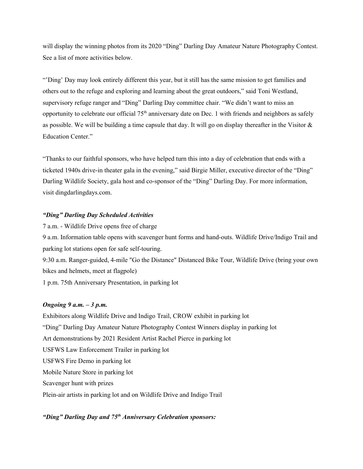will display the winning photos from its 2020 "Ding" Darling Day Amateur Nature Photography Contest. See a list of more activities below.

"'Ding' Day may look entirely different this year, but it still has the same mission to get families and others out to the refuge and exploring and learning about the great outdoors," said Toni Westland, supervisory refuge ranger and "Ding" Darling Day committee chair. "We didn't want to miss an opportunity to celebrate our official 75<sup>th</sup> anniversary date on Dec. 1 with friends and neighbors as safely as possible. We will be building a time capsule that day. It will go on display thereafter in the Visitor & Education Center."

"Thanks to our faithful sponsors, who have helped turn this into a day of celebration that ends with a ticketed 1940s drive-in theater gala in the evening," said Birgie Miller, executive director of the "Ding" Darling Wildlife Society, gala host and co-sponsor of the "Ding" Darling Day. For more information, visit dingdarlingdays.com.

#### *"Ding" Darling Day Scheduled Activities*

7 a.m. - Wildlife Drive opens free of charge

9 a.m. Information table opens with scavenger hunt forms and hand-outs. Wildlife Drive/Indigo Trail and parking lot stations open for safe self-touring.

9:30 a.m. Ranger-guided, 4-mile "Go the Distance" Distanced Bike Tour, Wildlife Drive (bring your own bikes and helmets, meet at flagpole)

1 p.m. 75th Anniversary Presentation, in parking lot

#### *Ongoing 9 a.m. – 3 p.m.*

Exhibitors along Wildlife Drive and Indigo Trail, CROW exhibit in parking lot "Ding" Darling Day Amateur Nature Photography Contest Winners display in parking lot Art demonstrations by 2021 Resident Artist Rachel Pierce in parking lot USFWS Law Enforcement Trailer in parking lot USFWS Fire Demo in parking lot Mobile Nature Store in parking lot Scavenger hunt with prizes Plein-air artists in parking lot and on Wildlife Drive and Indigo Trail

#### *"Ding" Darling Day and 75 th Anniversary Celebration sponsors:*